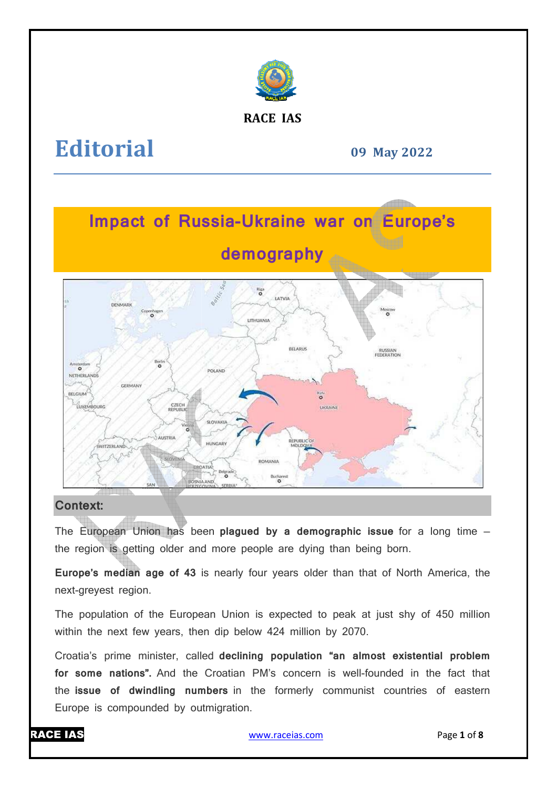

# **RACE IAS**

# **Editorial**

**09 May 2022**



# **Context:**

The European Union has been plagued by a demographic issue for a long time – the region is getting older and more people are dying than being born.

**Europe's median age of 43** is nearly four years older than that of North America, the next-greyest region.

The population of the European Union is expected to peak at just shy of 450 million within the next few years, then dip below 424 million by 2070.

Croatia's prime minister, called **declining population "an almost existential problem**  for some nations". And the Croatian PM's concern is well-founded in the fact th the **issue of dwindling numbers** in the formerly communist countries of eastern Europe is compounded by outmigration. k at just shy of 450 million<br>170.<br>**almost existential problem**<br>ell-founded in the fact that

# RACE IAS

www.raceias.com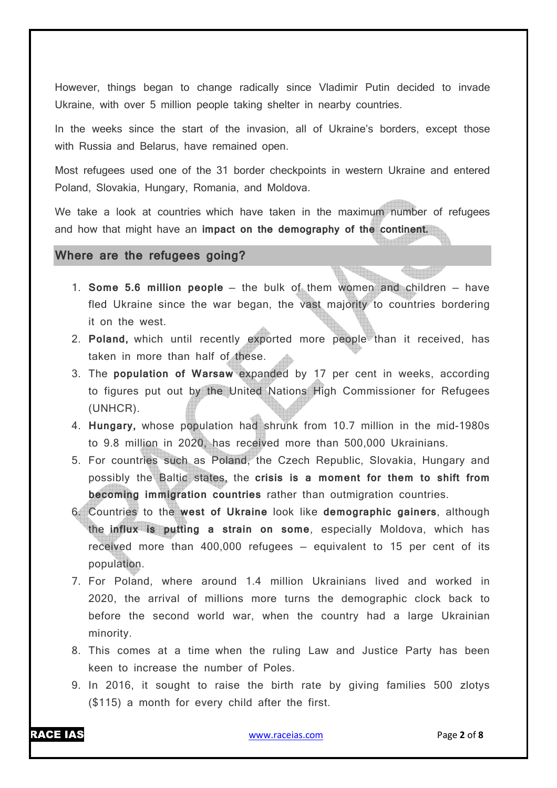However, things began to change radically since Vladimir Putin decided to invade Ukraine, with over 5 million people taking shelter in nearby countries.

In the weeks since the start of the invasion, all of Ukraine's borders, except those with Russia and Belarus, have remained open.

Most refugees used one of the 31 border checkpoints in western Ukraine and entered Poland, Slovakia, Hungary, Romania, and Moldova.

We take a look at countries which have taken in the maximum number of refugees and how that might have an **impact on the demography of the continent.**

#### **Where are the refugees going?**

- 1. **Some 5.6 million people** the bulk of them women and children have fled Ukraine since the war began, the vast majority to countries bordering it on the west.
- 2. **Poland,** which until recently exported more people than it received, has taken in more than half of these.
- 3. The **population of Warsaw** expanded by 17 per cent in weeks, according to figures put out by the United Nations High Commissioner for Refugees (UNHCR).
- 4. **Hungary,** whose population had shrunk from 10.7 million in the mid-1980s to 9.8 million in 2020, has received more than 500,000 Ukrainians.
- 5. For countries such as Poland, the Czech Republic, Slovakia, Hungary and possibly the Baltic states, the **crisis is a moment for them to shift from becoming immigration countries** rather than outmigration countries.
- 6. Countries to the **west of Ukraine** look like **demographic gainers**, although the **influx is putting a strain on some**, especially Moldova, which has received more than 400,000 refugees — equivalent to 15 per cent of its population.
- 7. For Poland, where around 1.4 million Ukrainians lived and worked in 2020, the arrival of millions more turns the demographic clock back to before the second world war, when the country had a large Ukrainian minority.
- 8. This comes at a time when the ruling Law and Justice Party has been keen to increase the number of Poles.
- 9. In 2016, it sought to raise the birth rate by giving families 500 zlotys (\$115) a month for every child after the first.

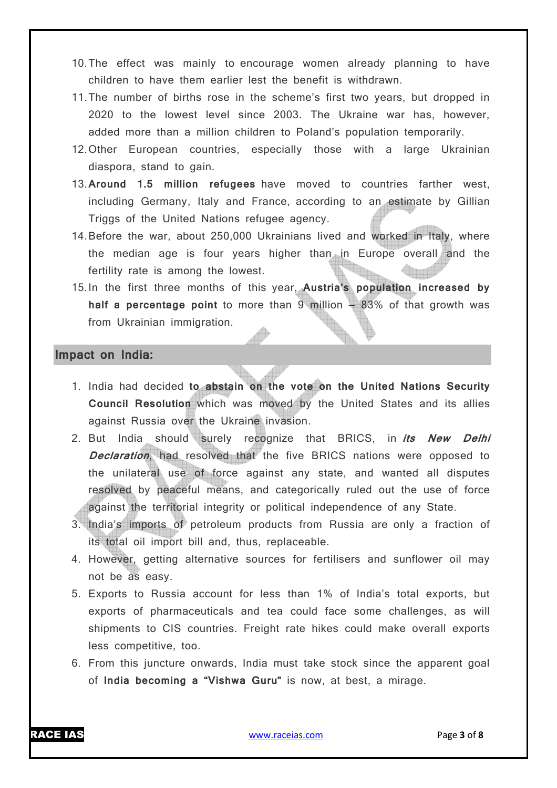- 10.The effect was mainly to encourage women already planning to have children to have them earlier lest the benefit is withdrawn.
- 11.The number of births rose in the scheme's first two years, but dropped in 2020 to the lowest level since 2003. The Ukraine war has, however, added more than a million children to Poland's population temporarily.
- 12.Other European countries, especially those with a large Ukrainian diaspora, stand to gain.
- 13.**Around 1.5 million refugees** have moved to countries farther west, including Germany, Italy and France, according to an estimate by Gillian Triggs of the United Nations refugee agency.
- 14.Before the war, about 250,000 Ukrainians lived and worked in Italy, where the median age is four years higher than in Europe overall and the fertility rate is among the lowest.
- 15.In the first three months of this year, **Austria's population increased by half a percentage point** to more than 9 million — 83% of that growth was from Ukrainian immigration.

#### **Impact on India:**

- 1. India had decided **to abstain on the vote on the United Nations Security Council Resolution** which was moved by the United States and its allies against Russia over the Ukraine invasion.
- 2. But India should surely recognize that BRICS, in **its New Delhi Declaration**, had resolved that the five BRICS nations were opposed to the unilateral use of force against any state, and wanted all disputes resolved by peaceful means, and categorically ruled out the use of force against the territorial integrity or political independence of any State.
- 3. India's imports of petroleum products from Russia are only a fraction of its total oil import bill and, thus, replaceable.
- 4. However, getting alternative sources for fertilisers and sunflower oil may not be as easy.
- 5. Exports to Russia account for less than 1% of India's total exports, but exports of pharmaceuticals and tea could face some challenges, as will shipments to CIS countries. Freight rate hikes could make overall exports less competitive, too.
- 6. From this juncture onwards, India must take stock since the apparent goal of **India becoming a "Vishwa Guru"** is now, at best, a mirage.

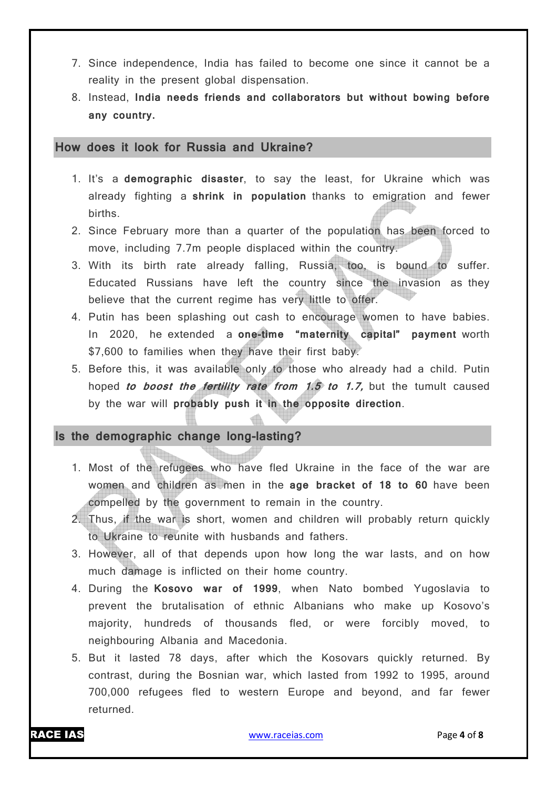- 7. Since independence, India has failed to become one since it cannot be a reality in the present global dispensation.
- 8. Instead, **India needs friends and collaborators but without bowing before any country.**

#### **How does it look for Russia and Ukraine?**

- 1. It's a **demographic disaster**, to say the least, for Ukraine which was already fighting a **shrink in population** thanks to emigration and fewer births.
- 2. Since February more than a quarter of the population has been forced to move, including 7.7m people displaced within the country.
- 3. With its birth rate already falling, Russia, too, is bound to suffer. Educated Russians have left the country since the invasion as they believe that the current regime has very little to offer.
- 4. Putin has been splashing out cash to encourage women to have babies. In 2020, he extended a **one-time "maternity capital" payment** worth \$7,600 to families when they have their first baby.
- 5. Before this, it was available only to those who already had a child. Putin hoped **to boost the fertility rate from 1.5 to 1.7,** but the tumult caused by the war will **probably push it in the opposite direction**.

# **Is the demographic change long-lasting?**

- 1. Most of the refugees who have fled Ukraine in the face of the war are women and children as men in the **age bracket of 18 to 60** have been compelled by the government to remain in the country.
- 2. Thus, if the war is short, women and children will probably return quickly to Ukraine to reunite with husbands and fathers.
- 3. However, all of that depends upon how long the war lasts, and on how much damage is inflicted on their home country.
- 4. During the **Kosovo war of 1999**, when Nato bombed Yugoslavia to prevent the brutalisation of ethnic Albanians who make up Kosovo's majority, hundreds of thousands fled, or were forcibly moved, to neighbouring Albania and Macedonia.
- 5. But it lasted 78 days, after which the Kosovars quickly returned. By contrast, during the Bosnian war, which lasted from 1992 to 1995, around 700,000 refugees fled to western Europe and beyond, and far fewer returned.

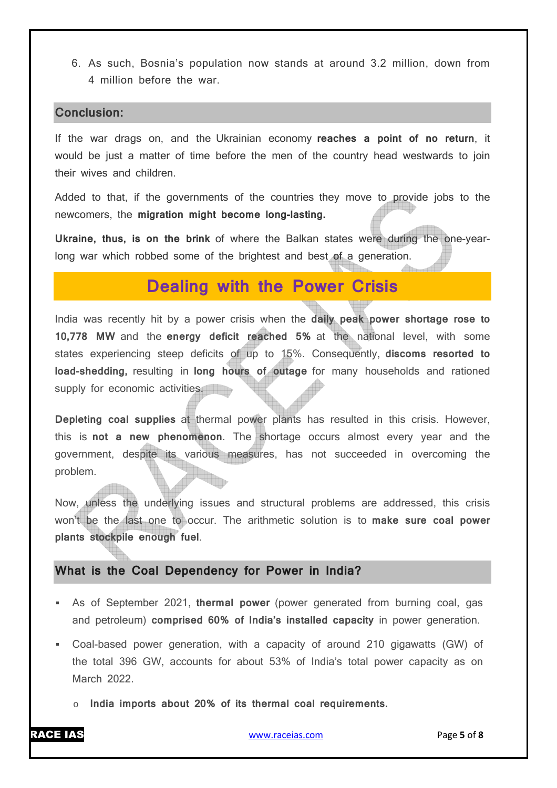6. As such, Bosnia's population now stands at around 3.2 million, down from 4 million before the war.

## **Conclusion:**

If the war drags on, and the Ukrainian economy **reaches a point of no return**, it would be just a matter of time before the men of the country head westwards to join their wives and children.

Added to that, if the governments of the countries they move to provide jobs to the newcomers, the **migration might become long-lasting.**

**Ukraine, thus, is on the brink** of where the Balkan states were during the one-yearlong war which robbed some of the brightest and best of a generation.

# **Dealing with the Power Crisis**

India was recently hit by a power crisis when the **daily peak power shortage rose to 10,778 MW** and the **energy deficit reached 5%** at the national level, with some states experiencing steep deficits of up to 15%. Consequently, **discoms resorted to load-shedding,** resulting in **long hours of outage** for many households and rationed supply for economic activities.

**Depleting coal supplies** at thermal power plants has resulted in this crisis. However, this is **not a new phenomenon**. The shortage occurs almost every year and the government, despite its various measures, has not succeeded in overcoming the problem.

Now, unless the underlying issues and structural problems are addressed, this crisis won't be the last one to occur. The arithmetic solution is to **make sure coal power plants stockpile enough fuel**.

# **What is the Coal Dependency for Power in India?**

- As of September 2021, **thermal power** (power generated from burning coal, gas and petroleum) **comprised 60% of India's installed capacity** in power generation.
- Coal-based power generation, with a capacity of around 210 gigawatts (GW) of the total 396 GW, accounts for about 53% of India's total power capacity as on March 2022.
	- o **India imports about 20% of its thermal coal requirements.**

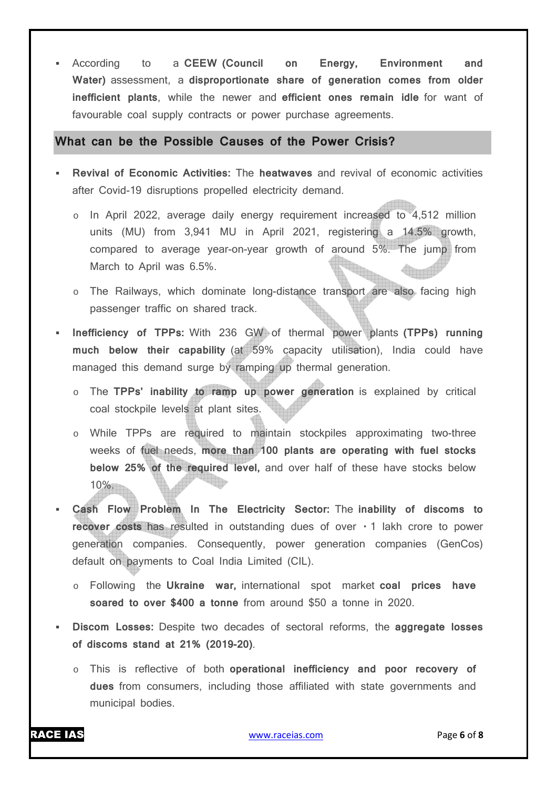According to a **CEEW (Council on Energy, Environment and Water)** assessment, a **disproportionate share of generation comes from older inefficient plants**, while the newer and **efficient ones remain idle** for want of favourable coal supply contracts or power purchase agreements.

#### **What can be the Possible Causes of the Power Crisis?**

- **Revival of Economic Activities:** The **heatwaves** and revival of economic activities after Covid-19 disruptions propelled electricity demand.
	- o In April 2022, average daily energy requirement increased to 4,512 million units (MU) from 3,941 MU in April 2021, registering a 14.5% growth, compared to average year-on-year growth of around 5%. The jump from March to April was 6.5%.
	- o The Railways, which dominate long-distance transport are also facing high passenger traffic on shared track.
- **Inefficiency of TPPs:** With 236 GW of thermal power plants **(TPPs) running much below their capability** (at 59% capacity utilisation), India could have managed this demand surge by ramping up thermal generation.
	- o The **TPPs' inability to ramp up power generation** is explained by critical coal stockpile levels at plant sites.
	- o While TPPs are required to maintain stockpiles approximating two-three weeks of fuel needs, **more than 100 plants are operating with fuel stocks below 25% of the required level,** and over half of these have stocks below 10%.
- **Cash Flow Problem In The Electricity Sector:** The **inability of discoms to recover costs** has resulted in outstanding dues of over  $\cdot$  1 lakh crore to power generation companies. Consequently, power generation companies (GenCos) default on payments to Coal India Limited (CIL).
	- o Following the **Ukraine war,** international spot market **coal prices have soared to over \$400 a tonne** from around \$50 a tonne in 2020.
- **Discom Losses:** Despite two decades of sectoral reforms, the **aggregate losses of discoms stand at 21% (2019-20)**.
	- o This is reflective of both **operational inefficiency and poor recovery of dues** from consumers, including those affiliated with state governments and municipal bodies.

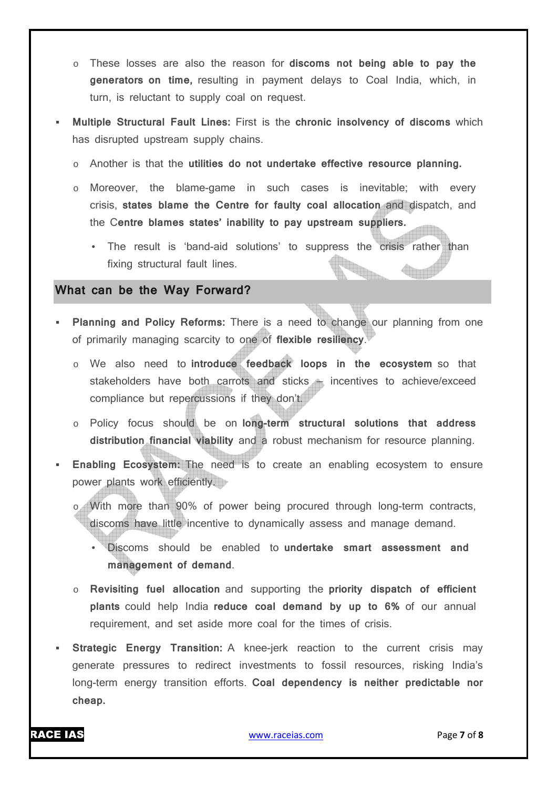- o These losses are also the reason for **discoms not being able to pay the generators on time,** resulting in payment delays to Coal India, which, in turn, is reluctant to supply coal on request.
- **Multiple Structural Fault Lines:** First is the **chronic insolvency of discoms** which has disrupted upstream supply chains.
	- o Another is that the **utilities do not undertake effective resource planning.**
	- o Moreover, the blame-game in such cases is inevitable; with every crisis, **states blame the Centre for faulty coal allocation** and dispatch, and the C**entre blames states' inability to pay upstream suppliers.**
		- The result is 'band-aid solutions' to suppress the crisis rather than fixing structural fault lines. **And**

## **What can be the Way Forward?**

- **Planning and Policy Reforms:** There is a need to change our planning from one of primarily managing scarcity to one of **flexible resiliency**.
	- o We also need to **introduce feedback loops in the ecosystem** so that stakeholders have both carrots and sticks — incentives to achieve/exceed compliance but repercussions if they don't.
	- o Policy focus should be on **long-term structural solutions that address distribution financial viability** and a robust mechanism for resource planning.
- **Enabling Ecosystem:** The need is to create an enabling ecosystem to ensure power plants work efficiently.
	- o With more than 90% of power being procured through long-term contracts, discoms have little incentive to dynamically assess and manage demand.
		- Discoms should be enabled to **undertake smart assessment and management of demand**.
	- o **Revisiting fuel allocation** and supporting the **priority dispatch of efficient plants** could help India **reduce coal demand by up to 6%** of our annual requirement, and set aside more coal for the times of crisis.
- **Strategic Energy Transition:** A knee-jerk reaction to the current crisis may generate pressures to redirect investments to fossil resources, risking India's long-term energy transition efforts. **Coal dependency is neither predictable nor cheap.**